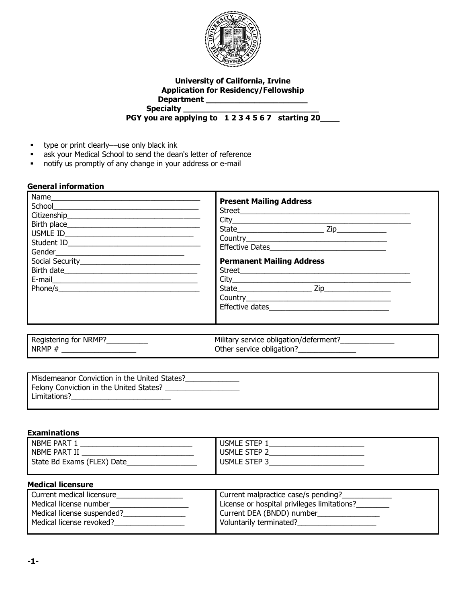

#### **University of California, Irvine Application for Residency/Fellowship Department \_\_\_\_\_\_\_\_\_\_\_\_\_\_\_\_\_\_\_\_\_ Specialty \_\_\_\_\_\_\_\_\_\_\_\_\_\_\_\_\_\_\_\_\_\_\_\_\_\_\_\_ PGY you are applying to 1 2 3 4 5 6 7 starting 20\_\_\_\_**

- **type or print clearly—use only black ink**
- **ask your Medical School to send the dean's letter of reference**
- notify us promptly of any change in your address or e-mail

## **General information**

|                                  | <b>Present Mailing Address</b><br>City<br><b>Permanent Mailing Address</b> |
|----------------------------------|----------------------------------------------------------------------------|
| Registering for NRMP?___________ | Military service obligation/deferment?_______________                      |
|                                  | Other service obligation?______________                                    |

## **Examinations**

| -------------------        |                   |
|----------------------------|-------------------|
| NBME PART                  | <b>USMLE STEP</b> |
| NBME PART II               | USMLE STEP ~      |
| State Bd Exams (FLEX) Date | USMLE STEP?       |
|                            |                   |

#### **Medical licensure**

| Current medical licensure  | Current malpractice case/s pending?         |
|----------------------------|---------------------------------------------|
| Medical license number     | License or hospital privileges limitations? |
| Medical license suspended? | Current DEA (BNDD) number                   |
| Medical license revoked?   | Voluntarily terminated?                     |
|                            |                                             |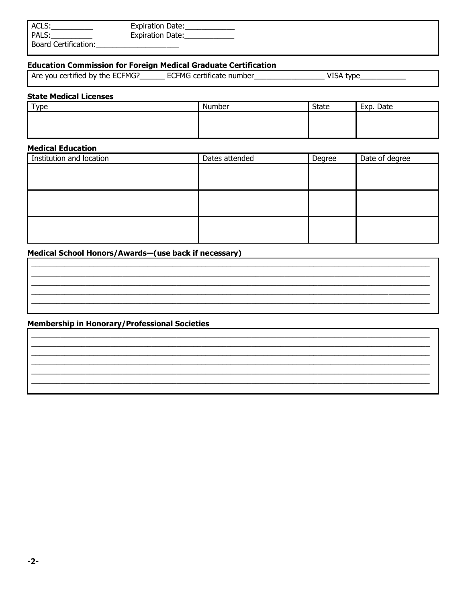| ACLS:                       | <b>Expiration Date:</b> |
|-----------------------------|-------------------------|
| PALS:                       | <b>Expiration Date:</b> |
| <b>Board Certification:</b> |                         |

## **Education Commission for Foreign Medical Graduate Certification**

| ECFMG?<br>Are you<br>certified<br>by the ECF | ECFMG certificate number | VISA<br>type |
|----------------------------------------------|--------------------------|--------------|
|                                              |                          |              |

## **State Medical Licenses**

| $\tau_{V\text{p}e}$ | Number | <b>State</b> | Exp.<br>Date |
|---------------------|--------|--------------|--------------|
|                     |        |              |              |
|                     |        |              |              |
|                     |        |              |              |

# **Medical Education**

| Institution and location | Dates attended | Degree | Date of degree |
|--------------------------|----------------|--------|----------------|
|                          |                |        |                |
|                          |                |        |                |
|                          |                |        |                |
|                          |                |        |                |
|                          |                |        |                |
|                          |                |        |                |
|                          |                |        |                |
|                          |                |        |                |

# Medical School Honors/Awards-(use back if necessary)

# **Membership in Honorary/Professional Societies**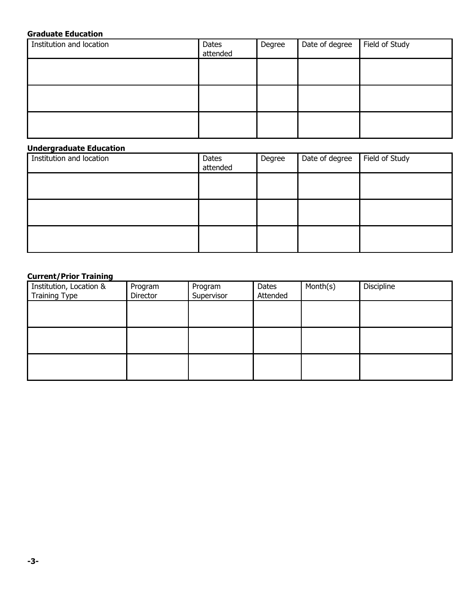# **Graduate Education**

| Institution and location | Dates<br>attended | Degree | Date of degree | Field of Study |
|--------------------------|-------------------|--------|----------------|----------------|
|                          |                   |        |                |                |
|                          |                   |        |                |                |
|                          |                   |        |                |                |

# **Undergraduate Education**

| Institution and location | Dates<br>attended | Degree | Date of degree | Field of Study |
|--------------------------|-------------------|--------|----------------|----------------|
|                          |                   |        |                |                |
|                          |                   |        |                |                |
|                          |                   |        |                |                |

# **Current/Prior Training**

| Institution, Location & | Program  | Program    | Dates    | Month(s) | Discipline |
|-------------------------|----------|------------|----------|----------|------------|
| <b>Training Type</b>    | Director | Supervisor | Attended |          |            |
|                         |          |            |          |          |            |
|                         |          |            |          |          |            |
|                         |          |            |          |          |            |
|                         |          |            |          |          |            |
|                         |          |            |          |          |            |
|                         |          |            |          |          |            |
|                         |          |            |          |          |            |
|                         |          |            |          |          |            |
|                         |          |            |          |          |            |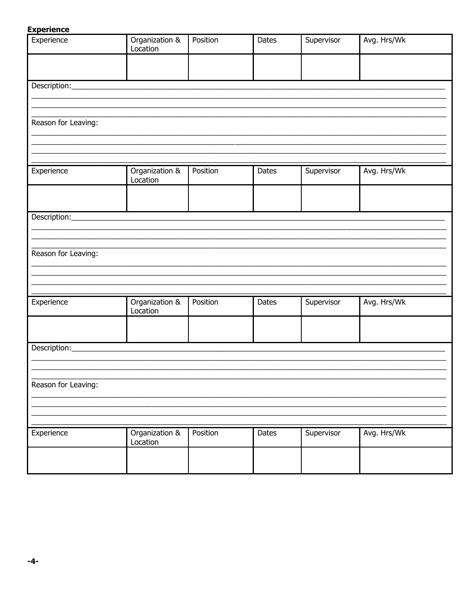## **Experience**

| Experience              | Organization &<br>Location | Position | <b>Dates</b> | Supervisor | Avg. Hrs/Wk |
|-------------------------|----------------------------|----------|--------------|------------|-------------|
|                         |                            |          |              |            |             |
|                         |                            |          |              |            |             |
| Reason for Leaving:     |                            |          |              |            |             |
|                         |                            |          |              |            |             |
| Experience              | Organization &<br>Location | Position | <b>Dates</b> | Supervisor | Avg. Hrs/Wk |
| Description:___________ |                            |          |              |            |             |
|                         |                            |          |              |            |             |
| Reason for Leaving:     |                            |          |              |            |             |
|                         |                            |          |              |            |             |
| Experience              | Organization &<br>Location | Position | Dates        | Supervisor | Avg. Hrs/Wk |
| Description:            |                            |          |              |            |             |
|                         |                            |          |              |            |             |
| Reason for Leaving:     |                            |          |              |            |             |
|                         |                            |          |              |            |             |
| Experience              | Organization &<br>Location | Position | Dates        | Supervisor | Avg. Hrs/Wk |
|                         |                            |          |              |            |             |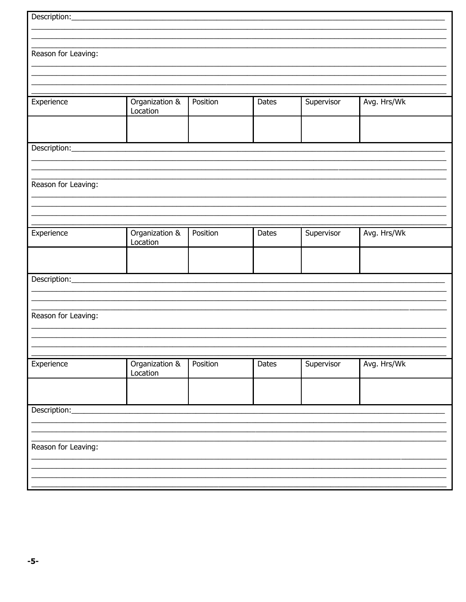| Reason for Leaving: |                |          |              |            |             |
|---------------------|----------------|----------|--------------|------------|-------------|
|                     |                |          |              |            |             |
|                     |                |          |              |            |             |
|                     |                |          |              |            |             |
|                     |                |          |              |            |             |
| Experience          | Organization & | Position | <b>Dates</b> | Supervisor | Avg. Hrs/Wk |
|                     | Location       |          |              |            |             |
|                     |                |          |              |            |             |
|                     |                |          |              |            |             |
|                     |                |          |              |            |             |
|                     |                |          |              |            |             |
|                     |                |          |              |            |             |
|                     |                |          |              |            |             |
| Reason for Leaving: |                |          |              |            |             |
|                     |                |          |              |            |             |
|                     |                |          |              |            |             |
|                     |                |          |              |            |             |
|                     |                |          |              |            |             |
| Experience          | Organization & | Position | <b>Dates</b> | Supervisor | Avg. Hrs/Wk |
|                     | Location       |          |              |            |             |
|                     |                |          |              |            |             |
|                     |                |          |              |            |             |
|                     |                |          |              |            |             |
|                     |                |          |              |            |             |
|                     |                |          |              |            |             |
|                     |                |          |              |            |             |
| Reason for Leaving: |                |          |              |            |             |
|                     |                |          |              |            |             |
|                     |                |          |              |            |             |
|                     |                |          |              |            |             |
|                     |                |          |              |            |             |
| Experience          | Organization & | Position | Dates        | Supervisor | Avg. Hrs/Wk |
|                     | Location       |          |              |            |             |
|                     |                |          |              |            |             |
|                     |                |          |              |            |             |
|                     |                |          |              |            |             |
| Description:        |                |          |              |            |             |
|                     |                |          |              |            |             |
|                     |                |          |              |            |             |
| Reason for Leaving: |                |          |              |            |             |
|                     |                |          |              |            |             |
|                     |                |          |              |            |             |
|                     |                |          |              |            |             |
|                     |                |          |              |            |             |
|                     |                |          |              |            |             |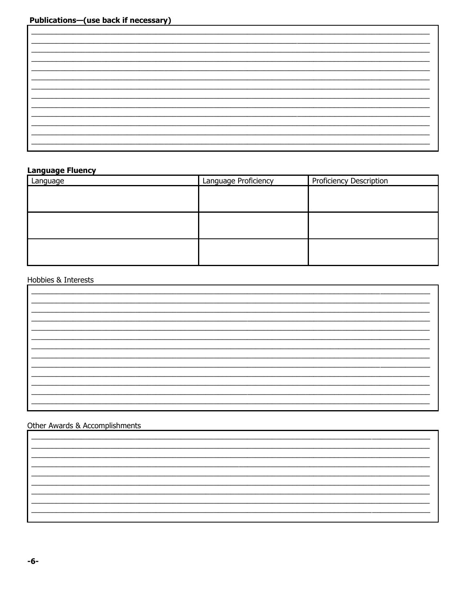# **Language Fluency**

| Language | Language Proficiency | Proficiency Description |
|----------|----------------------|-------------------------|
|          |                      |                         |
|          |                      |                         |
|          |                      |                         |
|          |                      |                         |
|          |                      |                         |
|          |                      |                         |

# Hobbies & Interests

# Other Awards & Accomplishments